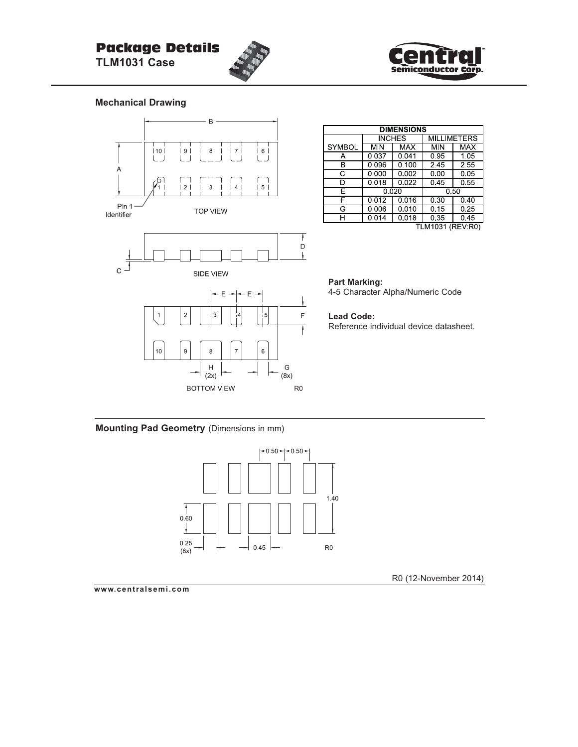# Package Details

**TLM1031 Case**



### **Mechanical Drawing**



| <b>DIMENSIONS</b> |                      |               |                    |            |  |  |
|-------------------|----------------------|---------------|--------------------|------------|--|--|
|                   |                      | <b>INCHES</b> | <b>MILLIMETERS</b> |            |  |  |
| <b>SYMBOL</b>     | <b>MIN</b>           | <b>MAX</b>    | MIN                | <b>MAX</b> |  |  |
| А                 | 0.037                | 0.041         | 0.95               | 1.05       |  |  |
| R                 | 0.096                | 0.100         | 2.45               | 2.55       |  |  |
| C                 | 0.000                | 0.002         | 0.00               | 0.05       |  |  |
| ח                 | $\overline{0}$ , 018 | 0.022         | 0.45               | 0.55       |  |  |
| Е                 | 0.020                |               | 0.50               |            |  |  |
| F                 | 0.012                | 0.016         | 0.30               | 0.40       |  |  |
| G                 | 0.006                | 0.010         | 0.15               | 0.25       |  |  |
| н                 | 0.014                | 0.018         | 0.35               | 0.45       |  |  |
| TLM1031 (REV:R0)  |                      |               |                    |            |  |  |

**Part Marking:** 4-5 Character Alpha/Numeric Code

#### **Lead Code:**

Reference individual device datasheet.

**Mounting Pad Geometry** (Dimensions in mm)



R0 (12-November 2014)

**www.centralsemi.com**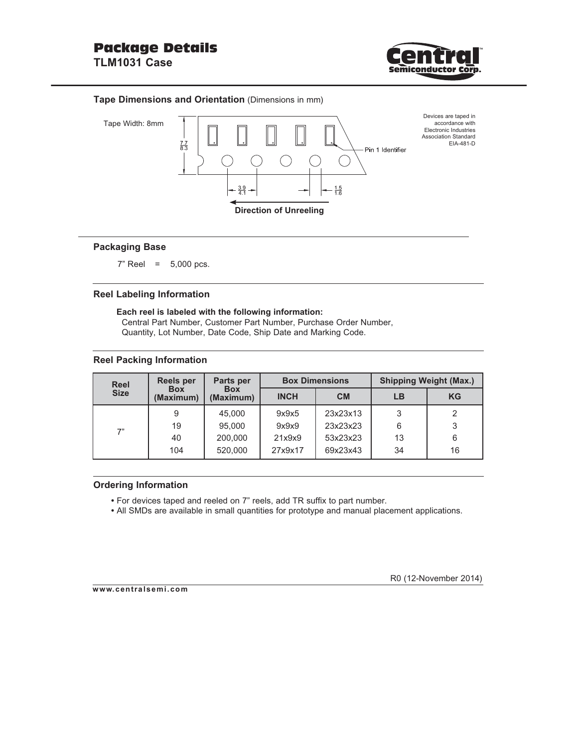

#### **Tape Dimensions and Orientation** (Dimensions in mm)



#### **Packaging Base**

7" Reel = 5,000 pcs.

#### **Reel Labeling Information**

**Each reel is labeled with the following information:** Central Part Number, Customer Part Number, Purchase Order Number, Quantity, Lot Number, Date Code, Ship Date and Marking Code.

#### **Reel Packing Information**

| <b>Reel</b> | <b>Reels per</b>        | Parts per               |             | <b>Box Dimensions</b> | <b>Shipping Weight (Max.)</b> |           |  |
|-------------|-------------------------|-------------------------|-------------|-----------------------|-------------------------------|-----------|--|
| <b>Size</b> | <b>Box</b><br>(Maximum) | <b>Box</b><br>(Maximum) | <b>INCH</b> | <b>CM</b>             | LB                            | <b>KG</b> |  |
| 7"          | 9                       | 45,000                  | 9x9x5       | 23x23x13              | 3                             | 2         |  |
|             | 19                      | 95,000                  | 9x9x9       | 23x23x23              | 6                             | 3         |  |
|             | 40                      | 200,000                 | 21x9x9      | 53x23x23              | 13                            | 6         |  |
|             | 104                     | 520,000                 | 27x9x17     | 69x23x43              | 34                            | 16        |  |

#### **Ordering Information**

- For devices taped and reeled on 7" reels, add TR suffix to part number.
- All SMDs are available in small quantities for prototype and manual placement applications.

**www.centralsemi.com**

R0 (12-November 2014)